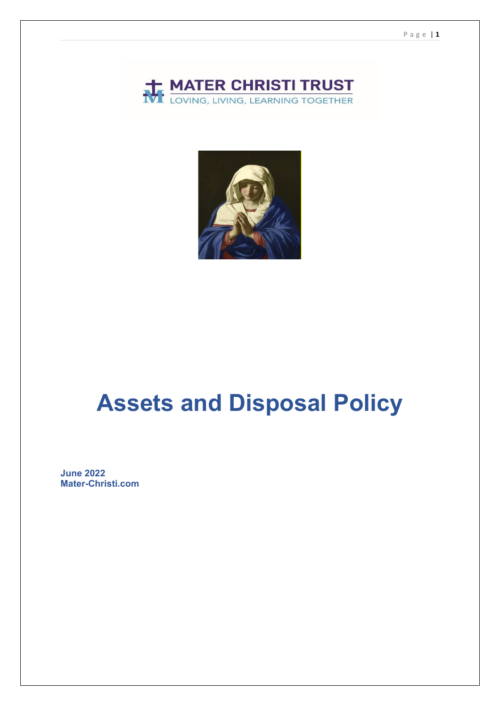



# **Assets and Disposal Policy**

**June 2022 Mater-Christi.com**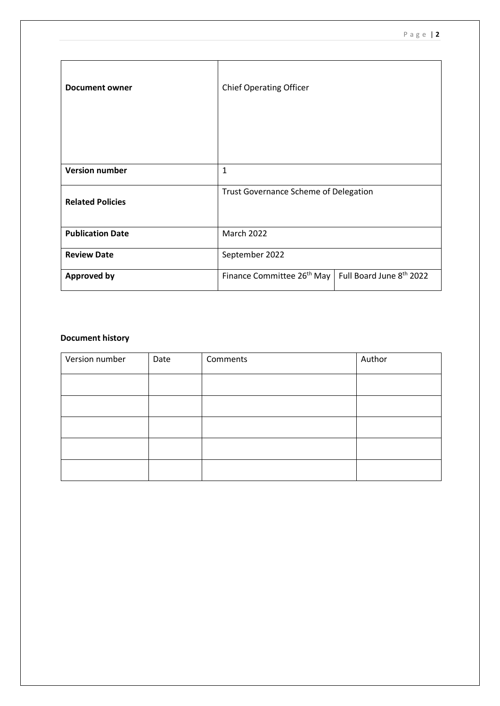| <b>Document owner</b>   | <b>Chief Operating Officer</b>         |                          |  |
|-------------------------|----------------------------------------|--------------------------|--|
| <b>Version number</b>   | $\mathbf{1}$                           |                          |  |
| <b>Related Policies</b> | Trust Governance Scheme of Delegation  |                          |  |
| <b>Publication Date</b> | March 2022                             |                          |  |
| <b>Review Date</b>      | September 2022                         |                          |  |
| <b>Approved by</b>      | Finance Committee 26 <sup>th</sup> May | Full Board June 8th 2022 |  |

#### **Document history**

| Version number | Date | Comments | Author |
|----------------|------|----------|--------|
|                |      |          |        |
|                |      |          |        |
|                |      |          |        |
|                |      |          |        |
|                |      |          |        |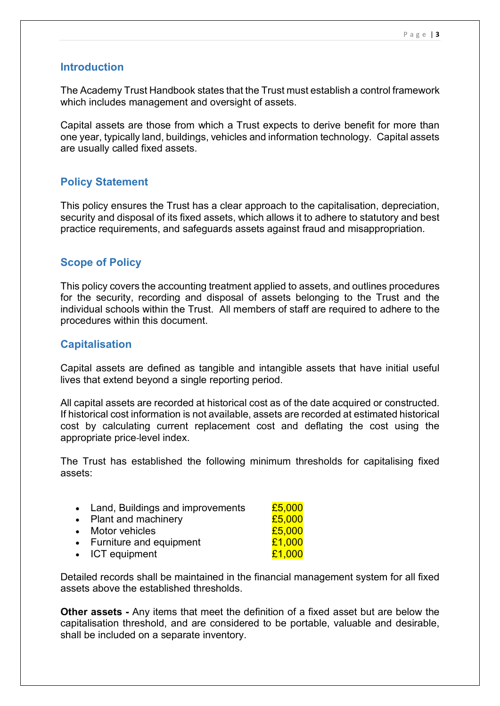## **Introduction**

The Academy Trust Handbook states that the Trust must establish a control framework which includes management and oversight of assets.

Capital assets are those from which a Trust expects to derive benefit for more than one year, typically land, buildings, vehicles and information technology. Capital assets are usually called fixed assets.

# **Policy Statement**

This policy ensures the Trust has a clear approach to the capitalisation, depreciation, security and disposal of its fixed assets, which allows it to adhere to statutory and best practice requirements, and safeguards assets against fraud and misappropriation.

# **Scope of Policy**

This policy covers the accounting treatment applied to assets, and outlines procedures for the security, recording and disposal of assets belonging to the Trust and the individual schools within the Trust. All members of staff are required to adhere to the procedures within this document.

# **Capitalisation**

Capital assets are defined as tangible and intangible assets that have initial useful lives that extend beyond a single reporting period.

All capital assets are recorded at historical cost as of the date acquired or constructed. If historical cost information is not available, assets are recorded at estimated historical cost by calculating current replacement cost and deflating the cost using the appropriate price‐level index.

The Trust has established the following minimum thresholds for capitalising fixed assets:

| • Land, Buildings and improvements | £5,000 |
|------------------------------------|--------|
| • Plant and machinery              | £5,000 |
| • Motor vehicles                   | £5,000 |
| • Furniture and equipment          | £1,000 |
| • ICT equipment                    | £1,000 |

Detailed records shall be maintained in the financial management system for all fixed assets above the established thresholds.

**Other assets -** Any items that meet the definition of a fixed asset but are below the capitalisation threshold, and are considered to be portable, valuable and desirable, shall be included on a separate inventory.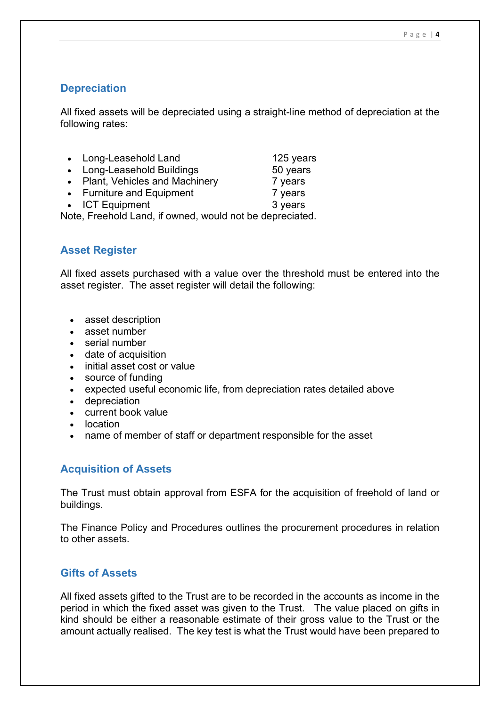# **Depreciation**

All fixed assets will be depreciated using a straight-line method of depreciation at the following rates:

| • Long-Leasehold Land           | 125 years |
|---------------------------------|-----------|
| • Long-Leasehold Buildings      | 50 years  |
| • Plant, Vehicles and Machinery | 7 years   |
| • Furniture and Equipment       | 7 years   |
| • ICT Equipment                 | 3 years   |

Note, Freehold Land, if owned, would not be depreciated.

# **Asset Register**

All fixed assets purchased with a value over the threshold must be entered into the asset register. The asset register will detail the following:

- asset description
- asset number
- serial number
- date of acquisition
- initial asset cost or value
- source of funding
- expected useful economic life, from depreciation rates detailed above
- depreciation
- current book value
- location
- name of member of staff or department responsible for the asset

## **Acquisition of Assets**

The Trust must obtain approval from ESFA for the acquisition of freehold of land or buildings.

The Finance Policy and Procedures outlines the procurement procedures in relation to other assets.

## **Gifts of Assets**

All fixed assets gifted to the Trust are to be recorded in the accounts as income in the period in which the fixed asset was given to the Trust. The value placed on gifts in kind should be either a reasonable estimate of their gross value to the Trust or the amount actually realised. The key test is what the Trust would have been prepared to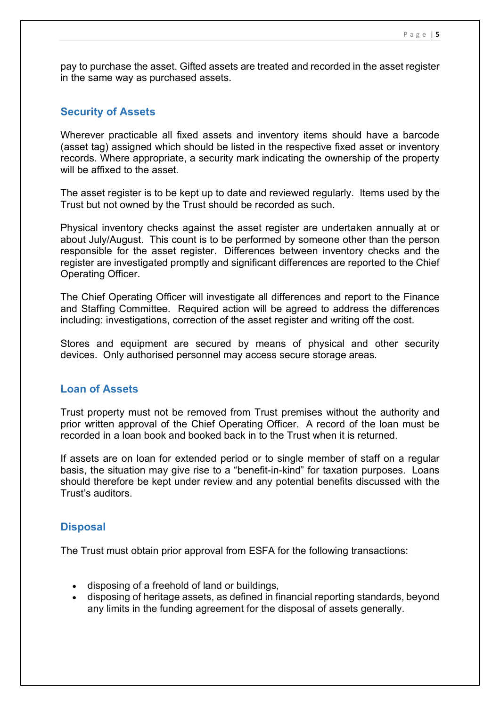pay to purchase the asset. Gifted assets are treated and recorded in the asset register in the same way as purchased assets.

#### **Security of Assets**

Wherever practicable all fixed assets and inventory items should have a barcode (asset tag) assigned which should be listed in the respective fixed asset or inventory records. Where appropriate, a security mark indicating the ownership of the property will be affixed to the asset.

The asset register is to be kept up to date and reviewed regularly. Items used by the Trust but not owned by the Trust should be recorded as such.

Physical inventory checks against the asset register are undertaken annually at or about July/August. This count is to be performed by someone other than the person responsible for the asset register. Differences between inventory checks and the register are investigated promptly and significant differences are reported to the Chief Operating Officer.

The Chief Operating Officer will investigate all differences and report to the Finance and Staffing Committee. Required action will be agreed to address the differences including: investigations, correction of the asset register and writing off the cost.

Stores and equipment are secured by means of physical and other security devices. Only authorised personnel may access secure storage areas.

#### **Loan of Assets**

Trust property must not be removed from Trust premises without the authority and prior written approval of the Chief Operating Officer. A record of the loan must be recorded in a loan book and booked back in to the Trust when it is returned.

If assets are on loan for extended period or to single member of staff on a regular basis, the situation may give rise to a "benefit-in-kind" for taxation purposes. Loans should therefore be kept under review and any potential benefits discussed with the Trust's auditors.

#### **Disposal**

The Trust must obtain prior approval from ESFA for the following transactions:

- disposing of a freehold of land or buildings,
- disposing of heritage assets, as defined in financial reporting standards, beyond any limits in the funding agreement for the disposal of assets generally.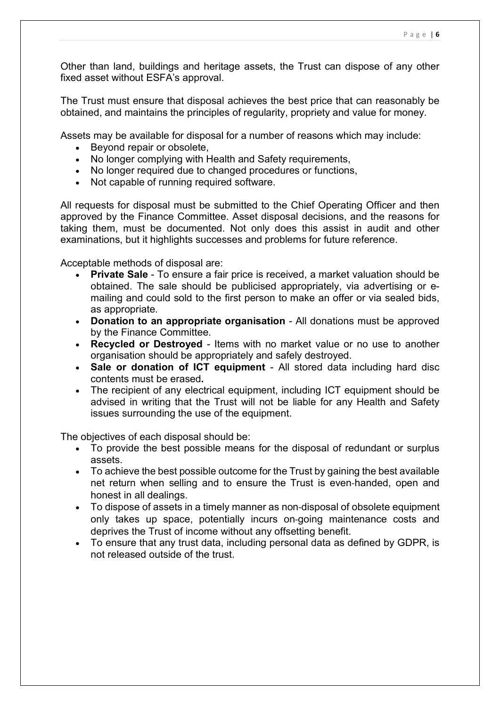Other than land, buildings and heritage assets, the Trust can dispose of any other fixed asset without ESFA's approval.

The Trust must ensure that disposal achieves the best price that can reasonably be obtained, and maintains the principles of regularity, propriety and value for money.

Assets may be available for disposal for a number of reasons which may include:

- Beyond repair or obsolete,
- No longer complying with Health and Safety requirements,
- No longer required due to changed procedures or functions,
- Not capable of running required software.

All requests for disposal must be submitted to the Chief Operating Officer and then approved by the Finance Committee. Asset disposal decisions, and the reasons for taking them, must be documented. Not only does this assist in audit and other examinations, but it highlights successes and problems for future reference.

Acceptable methods of disposal are:

- **Private Sale** To ensure a fair price is received, a market valuation should be obtained. The sale should be publicised appropriately, via advertising or emailing and could sold to the first person to make an offer or via sealed bids, as appropriate.
- **Donation to an appropriate organisation** All donations must be approved by the Finance Committee.
- **Recycled or Destroyed** Items with no market value or no use to another organisation should be appropriately and safely destroyed.
- **Sale or donation of ICT equipment** All stored data including hard disc contents must be erased**.**
- The recipient of any electrical equipment, including ICT equipment should be advised in writing that the Trust will not be liable for any Health and Safety issues surrounding the use of the equipment.

The objectives of each disposal should be:

- To provide the best possible means for the disposal of redundant or surplus assets.
- To achieve the best possible outcome for the Trust by gaining the best available net return when selling and to ensure the Trust is even-handed, open and honest in all dealings.
- To dispose of assets in a timely manner as non-disposal of obsolete equipment only takes up space, potentially incurs on‐going maintenance costs and deprives the Trust of income without any offsetting benefit.
- To ensure that any trust data, including personal data as defined by GDPR, is not released outside of the trust.